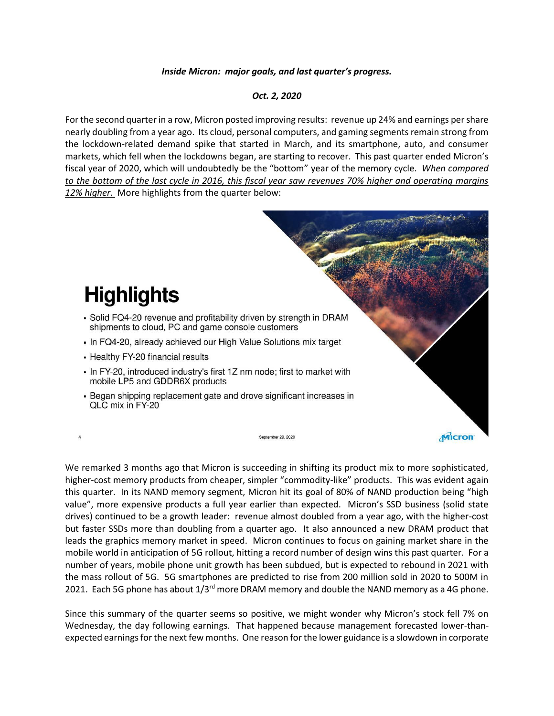## *Inside Micron: major goals, and last quarter's progress.*

## *Oct. 2, 2020*

For the second quarter in a row, Micron posted improving results: revenue up 24% and earnings per share nearly doubling from a year ago. Its cloud, personal computers, and gaming segments remain strong from the lockdown-related demand spike that started in March, and its smartphone, auto, and consumer markets, which fell when the lockdowns began, are starting to recover. This past quarter ended Micron's fiscal year of 2020, which will undoubtedly be the "bottom" year of the memory cycle. *When compared to the bottom of the last cycle in 2016, this fiscal year saw revenues 70% higher and operating margins 12% higher.* More highlights from the quarter below:



We remarked 3 months ago that Micron is succeeding in shifting its product mix to more sophisticated, higher-cost memory products from cheaper, simpler "commodity-like" products. This was evident again this quarter. In its NAND memory segment, Micron hit its goal of 80% of NAND production being "high value", more expensive products a full year earlier than expected. Micron's SSD business (solid state drives) continued to be a growth leader: revenue almost doubled from a year ago, with the higher-cost but faster SSDs more than doubling from a quarter ago. It also announced a new DRAM product that leads the graphics memory market in speed. Micron continues to focus on gaining market share in the mobile world in anticipation of 5G rollout, hitting a record number of design wins this past quarter. For a number of years, mobile phone unit growth has been subdued, but is expected to rebound in 2021 with the mass rollout of 5G. 5G smartphones are predicted to rise from 200 million sold in 2020 to 500M in 2021. Each 5G phone has about  $1/3^{rd}$  more DRAM memory and double the NAND memory as a 4G phone.

Since this summary of the quarter seems so positive, we might wonder why Micron's stock fell 7% on Wednesday, the day following earnings. That happened because management forecasted lower-thanexpected earnings for the next few months. One reason for the lower guidance is a slowdown in corporate